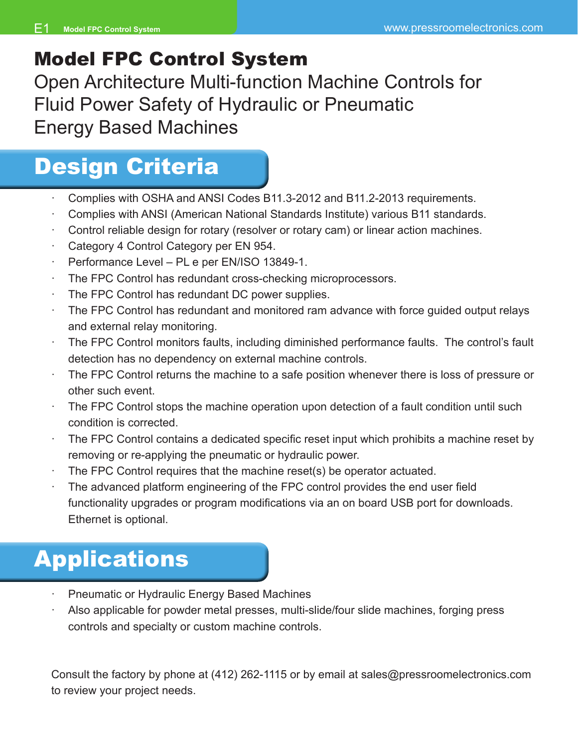## Model FPC Control System

Open Architecture Multi-function Machine Controls for Fluid Power Safety of Hydraulic or Pneumatic Energy Based Machines

# Design Criteria

- Complies with OSHA and ANSI Codes B11.3-2012 and B11.2-2013 requirements.
- · Complies with ANSI (American National Standards Institute) various B11 standards.
- Control reliable design for rotary (resolver or rotary cam) or linear action machines.
- Category 4 Control Category per EN 954.
- · Performance Level PL e per EN/ISO 13849-1.
- The FPC Control has redundant cross-checking microprocessors.
- The FPC Control has redundant DC power supplies.
- The FPC Control has redundant and monitored ram advance with force guided output relays and external relay monitoring.
- The FPC Control monitors faults, including diminished performance faults. The control's fault detection has no dependency on external machine controls.
- The FPC Control returns the machine to a safe position whenever there is loss of pressure or other such event.
- The FPC Control stops the machine operation upon detection of a fault condition until such condition is corrected.
- The FPC Control contains a dedicated specific reset input which prohibits a machine reset by removing or re-applying the pneumatic or hydraulic power.
- The FPC Control requires that the machine reset(s) be operator actuated.
- The advanced platform engineering of the FPC control provides the end user field functionality upgrades or program modifications via an on board USB port for downloads. Ethernet is optional.

# Applications

- Pneumatic or Hydraulic Energy Based Machines
- Also applicable for powder metal presses, multi-slide/four slide machines, forging press controls and specialty or custom machine controls.

Consult the factory by phone at (412) 262-1115 or by email at sales@pressroomelectronics.com to review your project needs.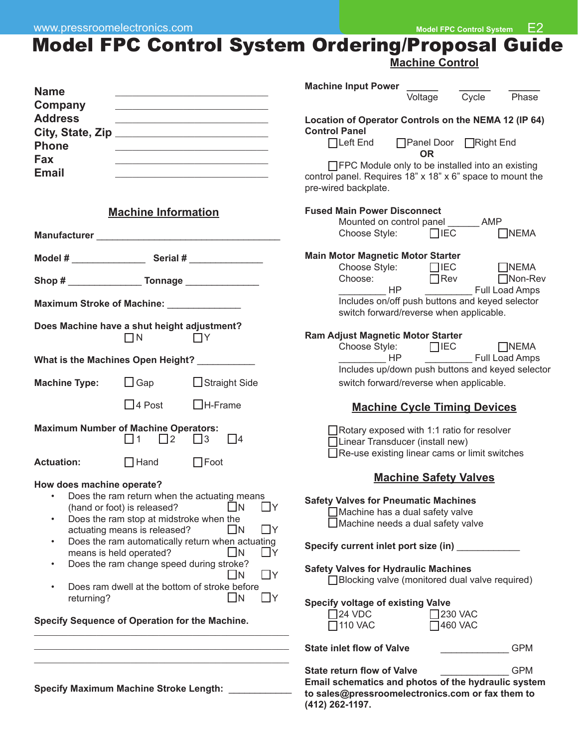## Model FPC Control System Ordering/Proposal Guide

|                                                                                                                                               |                                                                                                                                   |                                                                                                                                                                                                                                                                                              | <b>Machine Control</b>                                                                                                                                                                                                                                                                                                                                                                                                              |  |  |
|-----------------------------------------------------------------------------------------------------------------------------------------------|-----------------------------------------------------------------------------------------------------------------------------------|----------------------------------------------------------------------------------------------------------------------------------------------------------------------------------------------------------------------------------------------------------------------------------------------|-------------------------------------------------------------------------------------------------------------------------------------------------------------------------------------------------------------------------------------------------------------------------------------------------------------------------------------------------------------------------------------------------------------------------------------|--|--|
| <b>Name</b>                                                                                                                                   |                                                                                                                                   |                                                                                                                                                                                                                                                                                              | Machine Input Power                                                                                                                                                                                                                                                                                                                                                                                                                 |  |  |
| Company                                                                                                                                       |                                                                                                                                   | the control of the control of the control of the control of the control of the control of<br><u> 1990 - Johann John Stone, mars eta bainar eta industrial eta eta eta erromana eta erromana eta erromana eta </u>                                                                            | Cycle<br>Voltage<br>Phase                                                                                                                                                                                                                                                                                                                                                                                                           |  |  |
| <b>Address</b><br>City, State, Zip                                                                                                            |                                                                                                                                   | <u> 1989 - Johann Barn, mars eta bainar eta baina eta baina eta baina eta baina eta baina eta baina eta baina eta</u>                                                                                                                                                                        | Location of Operator Controls on the NEMA 12 (IP 64)<br><b>Control Panel</b>                                                                                                                                                                                                                                                                                                                                                        |  |  |
| <b>Phone</b>                                                                                                                                  |                                                                                                                                   | <u> 1989 - Johann John Barn, mars eta inperiodoren erroman (</u>                                                                                                                                                                                                                             | □Left End □ Panel Door □ Right End<br><b>OR</b>                                                                                                                                                                                                                                                                                                                                                                                     |  |  |
| Fax<br><b>Email</b>                                                                                                                           |                                                                                                                                   | the control of the control of the control of the control of the control of the control of<br>the control of the control of the control of the control of the control of                                                                                                                      | □ FPC Module only to be installed into an existing<br>control panel. Requires 18" x 18" x 6" space to mount the<br>pre-wired backplate.                                                                                                                                                                                                                                                                                             |  |  |
|                                                                                                                                               | <b>Machine Information</b>                                                                                                        |                                                                                                                                                                                                                                                                                              | <b>Fused Main Power Disconnect</b>                                                                                                                                                                                                                                                                                                                                                                                                  |  |  |
|                                                                                                                                               |                                                                                                                                   |                                                                                                                                                                                                                                                                                              | Mounted on control panel _______ AMP<br>Choose Style: $\Box$ IEC<br>$\Box$ NEMA                                                                                                                                                                                                                                                                                                                                                     |  |  |
|                                                                                                                                               |                                                                                                                                   |                                                                                                                                                                                                                                                                                              | <b>Main Motor Magnetic Motor Starter</b><br>Choose Style: □IEC<br>$\Box$ NEMA                                                                                                                                                                                                                                                                                                                                                       |  |  |
|                                                                                                                                               |                                                                                                                                   |                                                                                                                                                                                                                                                                                              | Choose: □ Rev □ Non-Rev<br>HP<br>Full Load Amps                                                                                                                                                                                                                                                                                                                                                                                     |  |  |
| Maximum Stroke of Machine: _____________                                                                                                      |                                                                                                                                   |                                                                                                                                                                                                                                                                                              | Includes on/off push buttons and keyed selector<br>switch forward/reverse when applicable.                                                                                                                                                                                                                                                                                                                                          |  |  |
| Does Machine have a shut height adjustment?                                                                                                   | $\Box N$                                                                                                                          | $\Box Y$                                                                                                                                                                                                                                                                                     | <b>Ram Adjust Magnetic Motor Starter</b><br>Choose Style: □IEC □NEMA                                                                                                                                                                                                                                                                                                                                                                |  |  |
|                                                                                                                                               |                                                                                                                                   | What is the Machines Open Height? __________                                                                                                                                                                                                                                                 | Includes up/down push buttons and keyed selector                                                                                                                                                                                                                                                                                                                                                                                    |  |  |
| <b>Machine Type:</b>                                                                                                                          | $\Box$ Gap                                                                                                                        | □ Straight Side                                                                                                                                                                                                                                                                              | switch forward/reverse when applicable.                                                                                                                                                                                                                                                                                                                                                                                             |  |  |
|                                                                                                                                               | $\Box$ 4 Post                                                                                                                     | $\Box$ H-Frame                                                                                                                                                                                                                                                                               | <b>Machine Cycle Timing Devices</b>                                                                                                                                                                                                                                                                                                                                                                                                 |  |  |
| <b>Maximum Number of Machine Operators:</b>                                                                                                   | $\Box$ 2<br>l 11                                                                                                                  | $\Box$ 4<br>$\Box$ 3                                                                                                                                                                                                                                                                         | $\Box$ Rotary exposed with 1:1 ratio for resolver<br>Linear Transducer (install new)<br>$\Box$ Re-use existing linear cams or limit switches                                                                                                                                                                                                                                                                                        |  |  |
| <b>Actuation:</b>                                                                                                                             | $\Box$ Hand                                                                                                                       | $\Box$ Foot                                                                                                                                                                                                                                                                                  | <b>Machine Safety Valves</b>                                                                                                                                                                                                                                                                                                                                                                                                        |  |  |
| How does machine operate?<br>$\bullet$<br>$\bullet$<br>$\bullet$<br>$\bullet$<br>returning?<br>Specify Sequence of Operation for the Machine. | (hand or foot) is released?<br>Does the ram stop at midstroke when the<br>actuating means is released?<br>means is held operated? | Does the ram return when the actuating means<br>l IN<br>ЦY<br>$\Box$ Y<br>$\bigsqcup N$<br>Does the ram automatically return when actuating<br>L In<br>Πy<br>Does the ram change speed during stroke?<br>$\Box$ Y<br>- IN<br>Does ram dwell at the bottom of stroke before<br>$\Box$ Y<br>ШN | <b>Safety Valves for Pneumatic Machines</b><br>Machine has a dual safety valve<br>Machine needs a dual safety valve<br>Specify current inlet port size (in)<br><b>Safety Valves for Hydraulic Machines</b><br>□ Blocking valve (monitored dual valve required)<br><b>Specify voltage of existing Valve</b><br>$\square$ 24 VDC<br>$\square$ 230 VAC<br>7110 VAC<br><b>460 VAC</b><br><b>State inlet flow of Valve</b><br><b>GPM</b> |  |  |
|                                                                                                                                               |                                                                                                                                   |                                                                                                                                                                                                                                                                                              | <b>GPM</b><br><b>State return flow of Valve</b>                                                                                                                                                                                                                                                                                                                                                                                     |  |  |
|                                                                                                                                               |                                                                                                                                   |                                                                                                                                                                                                                                                                                              | Email schematics and photos of the hydraulic system                                                                                                                                                                                                                                                                                                                                                                                 |  |  |

**Specify Maximum Machine Stroke Length:** \_\_\_\_\_\_\_\_\_\_\_\_

**Email schematics and photos of the hydraulic system to sales@pressroomelectronics.com or fax them to (412) 262-1197.**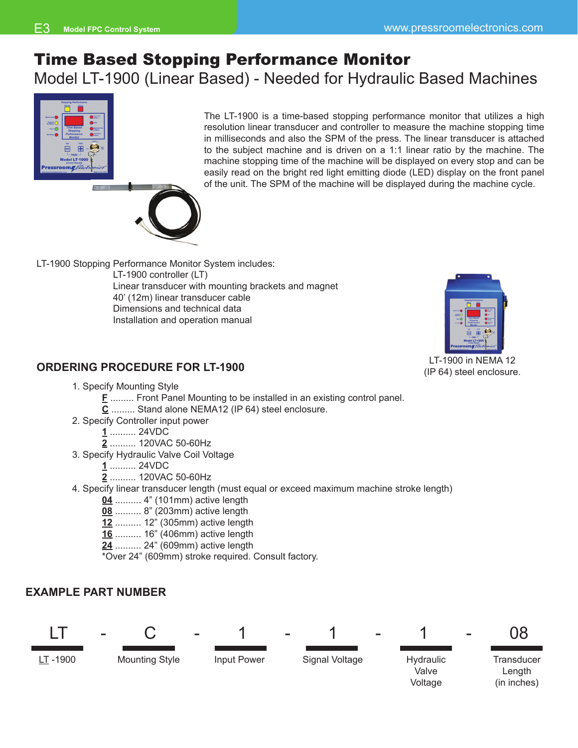## Time Based Stopping Performance Monitor Model LT-1900 (Linear Based) - Needed for Hydraulic Based Machines



in milliseconds and also the SPM of the press. The linear transducer is attached to the subject machine and is driven on a 1:1 linear ratio by the machine. The machine stopping time of the machine will be displayed on every stop and can be easily read on the bright red light emitting diode (LED) display on the front panel of the unit. The SPM of the machine will be displayed during the machine cycle.

The LT-1900 is a time-based stopping performance monitor that utilizes a high resolution linear transducer and controller to measure the machine stopping time

LT-1900 Stopping Performance Monitor System includes:

LT-1900 controller (LT) Linear transducer with mounting brackets and magnet 40' (12m) linear transducer cable Dimensions and technical data Installation and operation manual



LT-1900 in NEMA 12 (IP 64) steel enclosure.

## **ORDERING PROCEDURE FOR LT-1900**

- 1. Specify Mounting Style
	- **F** ......... Front Panel Mounting to be installed in an existing control panel.
	- **C** ......... Stand alone NEMA12 (IP 64) steel enclosure.
- 2. Specify Controller input power
	- **1** .......... 24VDC
	- **2** .......... 120VAC 50-60Hz
- 3. Specify Hydraulic Valve Coil Voltage
	- **1** .......... 24VDC
	- **2** .......... 120VAC 50-60Hz
- 4. Specify linear transducer length (must equal or exceed maximum machine stroke length)
	- **04** .......... 4" (101mm) active length
	- **08** .......... 8" (203mm) active length
	- **12** .......... 12" (305mm) active length
	- **16** .......... 16" (406mm) active length
	- **24** .......... 24" (609mm) active length
	- \*Over 24" (609mm) stroke required. Consult factory.

#### **EXAMPLE PART NUMBER**